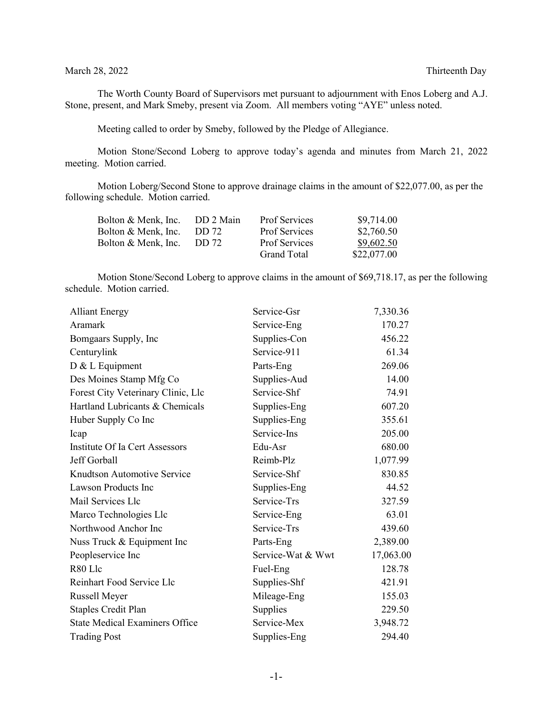#### March 28, 2022 Thirteenth Day

The Worth County Board of Supervisors met pursuant to adjournment with Enos Loberg and A.J. Stone, present, and Mark Smeby, present via Zoom. All members voting "AYE" unless noted.

Meeting called to order by Smeby, followed by the Pledge of Allegiance.

Motion Stone/Second Loberg to approve today's agenda and minutes from March 21, 2022 meeting. Motion carried.

Motion Loberg/Second Stone to approve drainage claims in the amount of \$22,077.00, as per the following schedule. Motion carried.

| Bolton & Menk, Inc. | DD 2 Main | <b>Prof Services</b> | \$9,714.00  |
|---------------------|-----------|----------------------|-------------|
| Bolton & Menk, Inc. | DD 72     | <b>Prof Services</b> | \$2,760.50  |
| Bolton & Menk, Inc. | DD 72     | <b>Prof Services</b> | \$9,602.50  |
|                     |           | Grand Total          | \$22,077.00 |

Motion Stone/Second Loberg to approve claims in the amount of \$69,718.17, as per the following schedule. Motion carried.

| <b>Alliant Energy</b>                 | Service-Gsr       | 7,330.36  |
|---------------------------------------|-------------------|-----------|
| Aramark                               | Service-Eng       | 170.27    |
| Bomgaars Supply, Inc                  | Supplies-Con      | 456.22    |
| Centurylink                           | Service-911       | 61.34     |
| D & L Equipment                       | Parts-Eng         | 269.06    |
| Des Moines Stamp Mfg Co               | Supplies-Aud      | 14.00     |
| Forest City Veterinary Clinic, Llc    | Service-Shf       | 74.91     |
| Hartland Lubricants & Chemicals       | Supplies-Eng      | 607.20    |
| Huber Supply Co Inc                   | Supplies-Eng      | 355.61    |
| Icap                                  | Service-Ins       | 205.00    |
| Institute Of Ia Cert Assessors        | Edu-Asr           | 680.00    |
| Jeff Gorball                          | Reimb-Plz         | 1,077.99  |
| Knudtson Automotive Service           | Service-Shf       | 830.85    |
| Lawson Products Inc                   | Supplies-Eng      | 44.52     |
| Mail Services Llc                     | Service-Trs       | 327.59    |
| Marco Technologies Llc                | Service-Eng       | 63.01     |
| Northwood Anchor Inc                  | Service-Trs       | 439.60    |
| Nuss Truck & Equipment Inc            | Parts-Eng         | 2,389.00  |
| Peopleservice Inc                     | Service-Wat & Wwt | 17,063.00 |
| R80 Llc                               | Fuel-Eng          | 128.78    |
| Reinhart Food Service Llc             | Supplies-Shf      | 421.91    |
| Russell Meyer                         | Mileage-Eng       | 155.03    |
| <b>Staples Credit Plan</b>            | Supplies          | 229.50    |
| <b>State Medical Examiners Office</b> | Service-Mex       | 3,948.72  |
| <b>Trading Post</b>                   | Supplies-Eng      | 294.40    |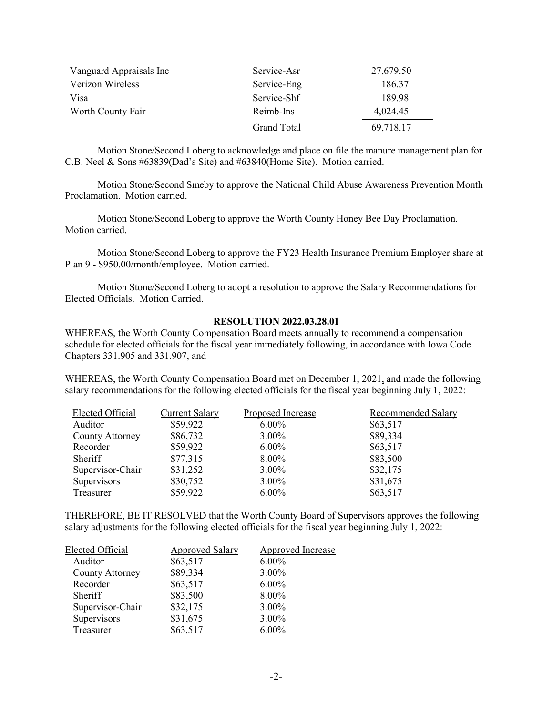| Vanguard Appraisals Inc | Service-Asr        | 27,679.50 |
|-------------------------|--------------------|-----------|
| Verizon Wireless        | Service-Eng        | 186.37    |
| Visa                    | Service-Shf        | 189.98    |
| Worth County Fair       | Reimb-Ins          | 4,024.45  |
|                         | <b>Grand Total</b> | 69,718.17 |

Motion Stone/Second Loberg to acknowledge and place on file the manure management plan for C.B. Neel & Sons #63839(Dad's Site) and #63840(Home Site). Motion carried.

Motion Stone/Second Smeby to approve the National Child Abuse Awareness Prevention Month Proclamation. Motion carried.

Motion Stone/Second Loberg to approve the Worth County Honey Bee Day Proclamation. Motion carried.

Motion Stone/Second Loberg to approve the FY23 Health Insurance Premium Employer share at Plan 9 - \$950.00/month/employee. Motion carried.

Motion Stone/Second Loberg to adopt a resolution to approve the Salary Recommendations for Elected Officials. Motion Carried.

#### **RESOLUTION 2022.03.28.01**

WHEREAS, the Worth County Compensation Board meets annually to recommend a compensation schedule for elected officials for the fiscal year immediately following, in accordance with Iowa Code Chapters 331.905 and 331.907, and

WHEREAS, the Worth County Compensation Board met on December 1, 2021, and made the following salary recommendations for the following elected officials for the fiscal year beginning July 1, 2022:

| Elected Official | <b>Current Salary</b> | Proposed Increase | Recommended Salary |
|------------------|-----------------------|-------------------|--------------------|
| Auditor          | \$59,922              | $6.00\%$          | \$63,517           |
| County Attorney  | \$86,732              | $3.00\%$          | \$89,334           |
| Recorder         | \$59,922              | $6.00\%$          | \$63,517           |
| <b>Sheriff</b>   | \$77,315              | 8.00%             | \$83,500           |
| Supervisor-Chair | \$31,252              | $3.00\%$          | \$32,175           |
| Supervisors      | \$30,752              | $3.00\%$          | \$31,675           |
| Treasurer        | \$59,922              | $6.00\%$          | \$63,517           |

THEREFORE, BE IT RESOLVED that the Worth County Board of Supervisors approves the following salary adjustments for the following elected officials for the fiscal year beginning July 1, 2022:

| Elected Official       | <b>Approved Salary</b> | <b>Approved Increase</b> |
|------------------------|------------------------|--------------------------|
| Auditor                | \$63,517               | $6.00\%$                 |
| <b>County Attorney</b> | \$89,334               | 3.00%                    |
| Recorder               | \$63,517               | $6.00\%$                 |
| Sheriff                | \$83,500               | 8.00%                    |
| Supervisor-Chair       | \$32,175               | 3.00%                    |
| Supervisors            | \$31,675               | $3.00\%$                 |
| Treasurer              | \$63,517               | $6.00\%$                 |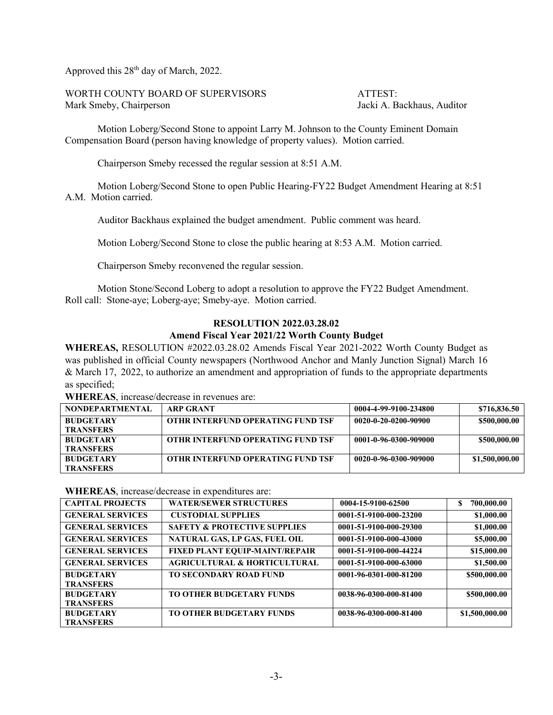Approved this  $28<sup>th</sup>$  day of March, 2022.

WORTH COUNTY BOARD OF SUPERVISORS ATTEST: Mark Smeby, Chairperson Jacki A. Backhaus, Auditor

Motion Loberg/Second Stone to appoint Larry M. Johnson to the County Eminent Domain Compensation Board (person having knowledge of property values). Motion carried.

Chairperson Smeby recessed the regular session at 8:51 A.M.

Motion Loberg/Second Stone to open Public Hearing-FY22 Budget Amendment Hearing at 8:51 A.M. Motion carried.

Auditor Backhaus explained the budget amendment. Public comment was heard.

Motion Loberg/Second Stone to close the public hearing at 8:53 A.M. Motion carried.

Chairperson Smeby reconvened the regular session.

Motion Stone/Second Loberg to adopt a resolution to approve the FY22 Budget Amendment. Roll call: Stone-aye; Loberg-aye; Smeby-aye. Motion carried.

## **RESOLUTION 2022.03.28.02 Amend Fiscal Year 2021/22 Worth County Budget**

**WHEREAS,** RESOLUTION #2022.03.28.02 Amends Fiscal Year 2021-2022 Worth County Budget as was published in official County newspapers (Northwood Anchor and Manly Junction Signal) March 16 & March 17, 2022, to authorize an amendment and appropriation of funds to the appropriate departments as specified;

**WHEREAS**, increase/decrease in revenues are:

| <b>NONDEPARTMENTAL</b> | <b>ARP GRANT</b>                         | 0004-4-99-9100-234800 | \$716,836.50   |
|------------------------|------------------------------------------|-----------------------|----------------|
| <b>BUDGETARY</b>       | <b>OTHR INTERFUND OPERATING FUND TSF</b> | 0020-0-20-0200-90900  | \$500,000.00   |
| <b>TRANSFERS</b>       |                                          |                       |                |
| <b>BUDGETARY</b>       | <b>OTHR INTERFUND OPERATING FUND TSF</b> | 0001-0-96-0300-909000 | \$500,000.00   |
| <b>TRANSFERS</b>       |                                          |                       |                |
| <b>BUDGETARY</b>       | <b>OTHR INTERFUND OPERATING FUND TSF</b> | 0020-0-96-0300-909000 | \$1,500,000.00 |
| <b>TRANSFERS</b>       |                                          |                       |                |

**WHEREAS**, increase/decrease in expenditures are:

| <b>CAPITAL PROJECTS</b> | <b>WATER/SEWER STRUCTURES</b>           | 0004-15-9100-62500     | 700,000.00     |
|-------------------------|-----------------------------------------|------------------------|----------------|
| <b>GENERAL SERVICES</b> | <b>CUSTODIAL SUPPLIES</b>               | 0001-51-9100-000-23200 | \$1,000.00     |
| <b>GENERAL SERVICES</b> | <b>SAFETY &amp; PROTECTIVE SUPPLIES</b> | 0001-51-9100-000-29300 | \$1,000.00     |
| <b>GENERAL SERVICES</b> | NATURAL GAS, LP GAS, FUEL OIL           | 0001-51-9100-000-43000 | \$5,000.00     |
| <b>GENERAL SERVICES</b> | <b>FIXED PLANT EQUIP-MAINT/REPAIR</b>   | 0001-51-9100-000-44224 | \$15,000.00    |
| <b>GENERAL SERVICES</b> | <b>AGRICULTURAL &amp; HORTICULTURAL</b> | 0001-51-9100-000-63000 | \$1,500.00     |
| <b>BUDGETARY</b>        | <b>TO SECONDARY ROAD FUND</b>           | 0001-96-0301-000-81200 | \$500,000.00   |
| <b>TRANSFERS</b>        |                                         |                        |                |
| <b>BUDGETARY</b>        | TO OTHER BUDGETARY FUNDS                | 0038-96-0300-000-81400 | \$500,000.00   |
| <b>TRANSFERS</b>        |                                         |                        |                |
| <b>BUDGETARY</b>        | TO OTHER BUDGETARY FUNDS                | 0038-96-0300-000-81400 | \$1,500,000.00 |
| <b>TRANSFERS</b>        |                                         |                        |                |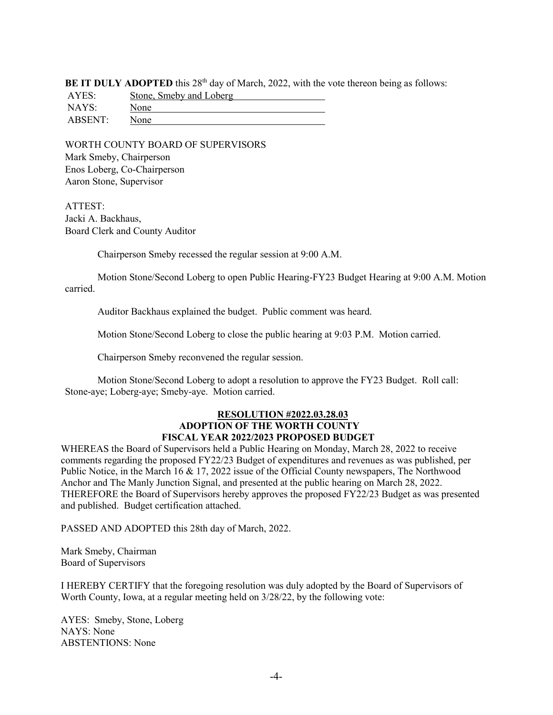**BE IT DULY ADOPTED** this 28<sup>th</sup> day of March, 2022, with the vote thereon being as follows:

| AYES:   | Stone, Smeby and Loberg |
|---------|-------------------------|
| NAYS:   | None                    |
| ABSENT: | None                    |

WORTH COUNTY BOARD OF SUPERVISORS Mark Smeby, Chairperson Enos Loberg, Co-Chairperson Aaron Stone, Supervisor

ATTEST: Jacki A. Backhaus, Board Clerk and County Auditor

Chairperson Smeby recessed the regular session at 9:00 A.M.

Motion Stone/Second Loberg to open Public Hearing-FY23 Budget Hearing at 9:00 A.M. Motion carried.

Auditor Backhaus explained the budget. Public comment was heard.

Motion Stone/Second Loberg to close the public hearing at 9:03 P.M. Motion carried.

Chairperson Smeby reconvened the regular session.

Motion Stone/Second Loberg to adopt a resolution to approve the FY23 Budget. Roll call: Stone-aye; Loberg-aye; Smeby-aye. Motion carried.

### **RESOLUTION #2022.03.28.03 ADOPTION OF THE WORTH COUNTY FISCAL YEAR 2022/2023 PROPOSED BUDGET**

WHEREAS the Board of Supervisors held a Public Hearing on Monday, March 28, 2022 to receive comments regarding the proposed FY22/23 Budget of expenditures and revenues as was published, per Public Notice, in the March 16 & 17, 2022 issue of the Official County newspapers, The Northwood Anchor and The Manly Junction Signal, and presented at the public hearing on March 28, 2022. THEREFORE the Board of Supervisors hereby approves the proposed FY22/23 Budget as was presented and published. Budget certification attached.

PASSED AND ADOPTED this 28th day of March, 2022.

Mark Smeby, Chairman Board of Supervisors

I HEREBY CERTIFY that the foregoing resolution was duly adopted by the Board of Supervisors of Worth County, Iowa, at a regular meeting held on 3/28/22, by the following vote:

AYES: Smeby, Stone, Loberg NAYS: None ABSTENTIONS: None